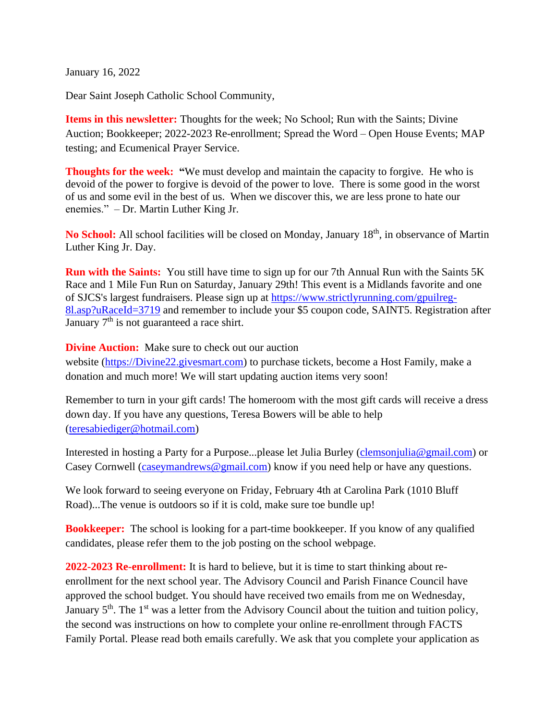January 16, 2022

Dear Saint Joseph Catholic School Community,

**Items in this newsletter:** Thoughts for the week; No School; Run with the Saints; Divine Auction; Bookkeeper; 2022-2023 Re-enrollment; Spread the Word – Open House Events; MAP testing; and Ecumenical Prayer Service.

**Thoughts for the week: "**We must develop and maintain the capacity to forgive. He who is devoid of the power to forgive is devoid of the power to love. There is some good in the worst of us and some evil in the best of us. When we discover this, we are less prone to hate our enemies." – Dr. Martin Luther King Jr.

No School: All school facilities will be closed on Monday, January 18<sup>th</sup>, in observance of Martin Luther King Jr. Day.

**Run with the Saints:** You still have time to sign up for our 7th Annual Run with the Saints 5K Race and 1 Mile Fun Run on Saturday, January 29th! This event is a Midlands favorite and one of SJCS's largest fundraisers. Please sign up at [https://www.strictlyrunning.com/gpuilreg-](https://www.strictlyrunning.com/gpuilreg-8l.asp?uRaceId=3719)[8l.asp?uRaceId=3719](https://www.strictlyrunning.com/gpuilreg-8l.asp?uRaceId=3719) and remember to include your \$5 coupon code, SAINT5. Registration after January  $7<sup>th</sup>$  is not guaranteed a race shirt.

**Divine Auction:** Make sure to check out our auction

website [\(https://Divine22.givesmart.com\)](https://divine22.givesmart.com/) to purchase tickets, become a Host Family, make a donation and much more! We will start updating auction items very soon!

Remember to turn in your gift cards! The homeroom with the most gift cards will receive a dress down day. If you have any questions, Teresa Bowers will be able to help [\(teresabiediger@hotmail.com\)](mailto:teresabiediger@hotmail.com)

Interested in hosting a Party for a Purpose...please let Julia Burley (*clemsonjulia@gmail.com*) or Casey Cornwell [\(caseymandrews@gmail.com\)](mailto:caseymandrews@gmail.com) know if you need help or have any questions.

We look forward to seeing everyone on Friday, February 4th at Carolina Park (1010 Bluff Road)...The venue is outdoors so if it is cold, make sure toe bundle up!

**Bookkeeper:** The school is looking for a part-time bookkeeper. If you know of any qualified candidates, please refer them to the job posting on the school webpage.

**2022-2023 Re-enrollment:** It is hard to believe, but it is time to start thinking about reenrollment for the next school year. The Advisory Council and Parish Finance Council have approved the school budget. You should have received two emails from me on Wednesday, January 5<sup>th</sup>. The 1<sup>st</sup> was a letter from the Advisory Council about the tuition and tuition policy, the second was instructions on how to complete your online re-enrollment through FACTS Family Portal. Please read both emails carefully. We ask that you complete your application as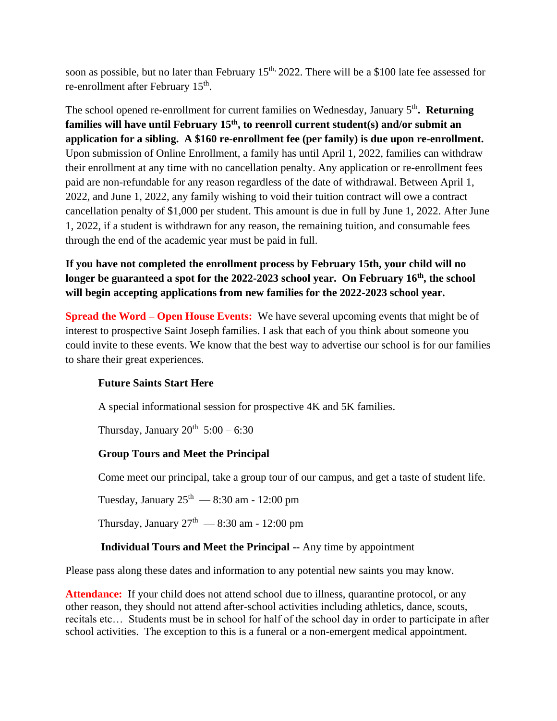soon as possible, but no later than February 15<sup>th, 2022</sup>. There will be a \$100 late fee assessed for re-enrollment after February 15<sup>th</sup>.

The school opened re-enrollment for current families on Wednesday, January 5<sup>th</sup>. Returning **families will have until February 15th, to reenroll current student(s) and/or submit an application for a sibling. A \$160 re-enrollment fee (per family) is due upon re-enrollment.**  Upon submission of Online Enrollment, a family has until April 1, 2022, families can withdraw their enrollment at any time with no cancellation penalty. Any application or re-enrollment fees paid are non-refundable for any reason regardless of the date of withdrawal. Between April 1, 2022, and June 1, 2022, any family wishing to void their tuition contract will owe a contract cancellation penalty of \$1,000 per student. This amount is due in full by June 1, 2022. After June 1, 2022, if a student is withdrawn for any reason, the remaining tuition, and consumable fees through the end of the academic year must be paid in full.

## **If you have not completed the enrollment process by February 15th, your child will no longer be guaranteed a spot for the 2022-2023 school year. On February 16th, the school will begin accepting applications from new families for the 2022-2023 school year.**

**Spread the Word – Open House Events:** We have several upcoming events that might be of interest to prospective Saint Joseph families. I ask that each of you think about someone you could invite to these events. We know that the best way to advertise our school is for our families to share their great experiences.

## **Future Saints Start Here**

A special informational session for prospective 4K and 5K families.

Thursday, January  $20^{th}$  5:00 – 6:30

## **Group Tours and Meet the Principal**

Come meet our principal, take a group tour of our campus, and get a taste of student life.

Tuesday, January  $25^{th}$  — 8:30 am - 12:00 pm

Thursday, January  $27<sup>th</sup>$  — 8:30 am - 12:00 pm

## **Individual Tours and Meet the Principal --** Any time by appointment

Please pass along these dates and information to any potential new saints you may know.

Attendance: If your child does not attend school due to illness, quarantine protocol, or any other reason, they should not attend after-school activities including athletics, dance, scouts, recitals etc… Students must be in school for half of the school day in order to participate in after school activities. The exception to this is a funeral or a non-emergent medical appointment.